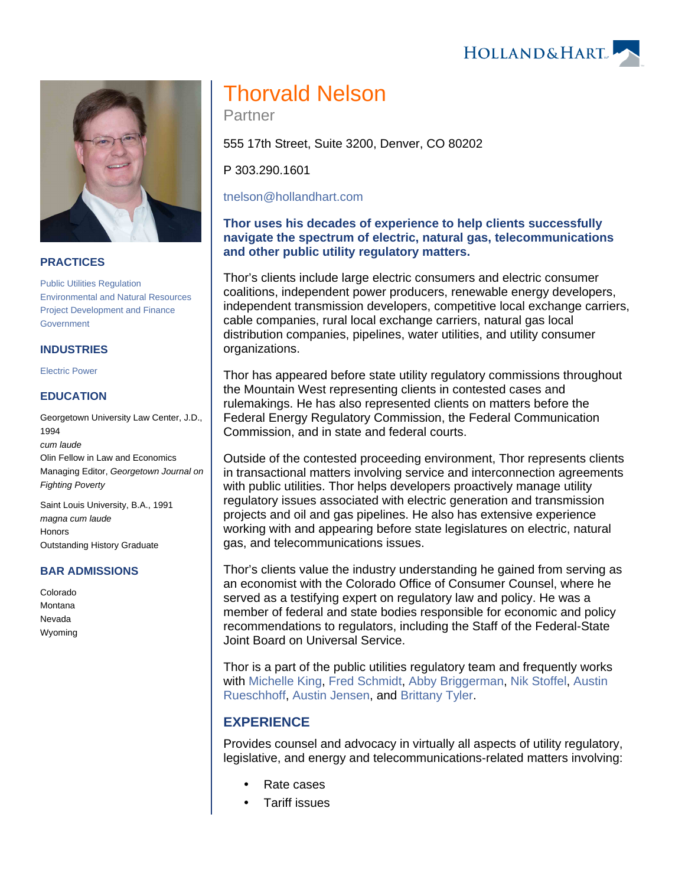HOLLAND& HART



#### **PRACTICES**

[Public Utilities Regulation](https://www.hollandhart.com/19687) [Environmental and Natural Resources](https://www.hollandhart.com/19667) [Project Development and Finance](https://www.hollandhart.com/19763) [Government](https://www.hollandhart.com/19666)

#### **INDUSTRIES**

[Electric Power](https://www.hollandhart.com/19737)

## **EDUCATION**

Georgetown University Law Center, J.D., 1994 cum laude Olin Fellow in Law and Economics Managing Editor, Georgetown Journal on Fighting Poverty

Saint Louis University, B.A., 1991 magna cum laude **Honors** Outstanding History Graduate

#### **BAR ADMISSIONS**

Colorado Montana Nevada Wyoming

# Thorvald Nelson

Partner

555 17th Street, Suite 3200, Denver, CO 80202

P 303.290.1601

[tnelson@hollandhart.com](mailto:tnelson@hollandhart.com)

## **Thor uses his decades of experience to help clients successfully navigate the spectrum of electric, natural gas, telecommunications and other public utility regulatory matters.**

Thor's clients include large electric consumers and electric consumer coalitions, independent power producers, renewable energy developers, independent transmission developers, competitive local exchange carriers, cable companies, rural local exchange carriers, natural gas local distribution companies, pipelines, water utilities, and utility consumer organizations.

Thor has appeared before state utility regulatory commissions throughout the Mountain West representing clients in contested cases and rulemakings. He has also represented clients on matters before the Federal Energy Regulatory Commission, the Federal Communication Commission, and in state and federal courts.

Outside of the contested proceeding environment, Thor represents clients in transactional matters involving service and interconnection agreements with public utilities. Thor helps developers proactively manage utility regulatory issues associated with electric generation and transmission projects and oil and gas pipelines. He also has extensive experience working with and appearing before state legislatures on electric, natural gas, and telecommunications issues.

Thor's clients value the industry understanding he gained from serving as an economist with the Colorado Office of Consumer Counsel, where he served as a testifying expert on regulatory law and policy. He was a member of federal and state bodies responsible for economic and policy recommendations to regulators, including the Staff of the Federal-State Joint Board on Universal Service.

Thor is a part of the public utilities regulatory team and frequently works with [Michelle King,](https://www.hollandhart.com/mbking) [Fred Schmidt](https://www.hollandhart.com/fschmidt), [Abby Briggerman](https://www.hollandhart.com/acbriggerman), [Nik Stoffel,](https://www.hollandhart.com/nsstoffel) [Austin](https://www.hollandhart.com/arueschhoff)  [Rueschhoff](https://www.hollandhart.com/arueschhoff), [Austin Jensen,](https://www.hollandhart.com/awjensen) and [Brittany Tyler.](https://www.hollandhart.com/btyler)

# **EXPERIENCE**

Provides counsel and advocacy in virtually all aspects of utility regulatory, legislative, and energy and telecommunications-related matters involving:

- Rate cases
- Tariff issues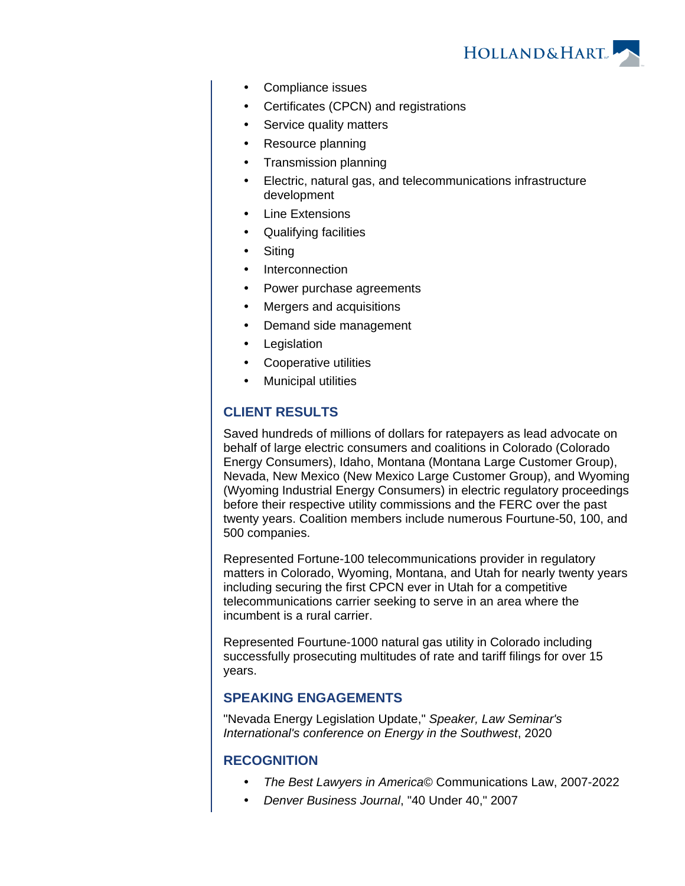

- Compliance issues
- Certificates (CPCN) and registrations
- Service quality matters
- Resource planning
- Transmission planning
- Electric, natural gas, and telecommunications infrastructure development
- Line Extensions
- Qualifying facilities
- **Siting**
- Interconnection
- Power purchase agreements
- Mergers and acquisitions
- Demand side management
- Legislation
- Cooperative utilities
- Municipal utilities

# **CLIENT RESULTS**

Saved hundreds of millions of dollars for ratepayers as lead advocate on behalf of large electric consumers and coalitions in Colorado (Colorado Energy Consumers), Idaho, Montana (Montana Large Customer Group), Nevada, New Mexico (New Mexico Large Customer Group), and Wyoming (Wyoming Industrial Energy Consumers) in electric regulatory proceedings before their respective utility commissions and the FERC over the past twenty years. Coalition members include numerous Fourtune-50, 100, and 500 companies.

Represented Fortune-100 telecommunications provider in regulatory matters in Colorado, Wyoming, Montana, and Utah for nearly twenty years including securing the first CPCN ever in Utah for a competitive telecommunications carrier seeking to serve in an area where the incumbent is a rural carrier.

Represented Fourtune-1000 natural gas utility in Colorado including successfully prosecuting multitudes of rate and tariff filings for over 15 years.

## **SPEAKING ENGAGEMENTS**

"Nevada Energy Legislation Update," Speaker, Law Seminar's International's conference on Energy in the Southwest, 2020

## **RECOGNITION**

- The Best Lawyers in America© Communications Law, 2007-2022
- Denver Business Journal, "40 Under 40," 2007